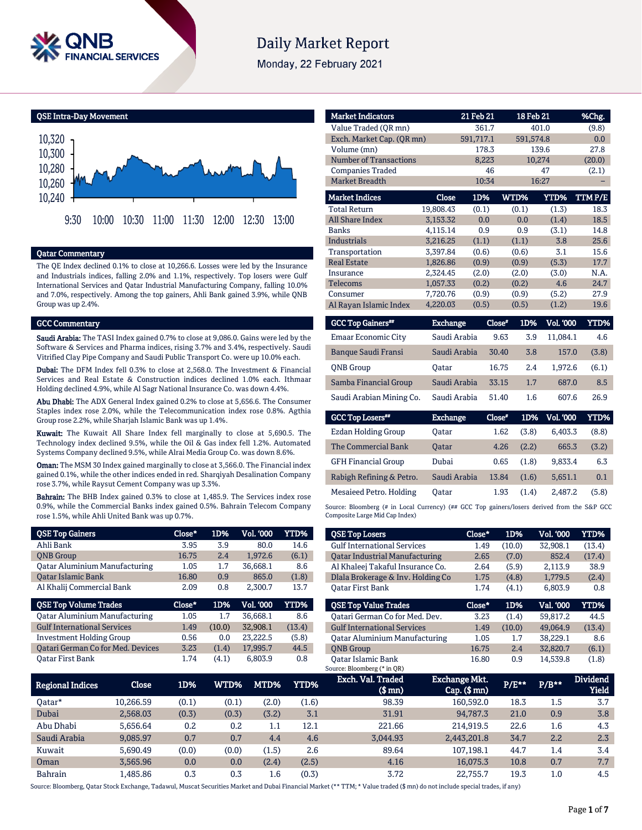

# **Daily Market Report**

Monday, 22 February 2021

QSE Intra-Day Movement



## Qatar Commentary

The QE Index declined 0.1% to close at 10,266.6. Losses were led by the Insurance and Industrials indices, falling 2.0% and 1.1%, respectively. Top losers were Gulf International Services and Qatar Industrial Manufacturing Company, falling 10.0% and 7.0%, respectively. Among the top gainers, Ahli Bank gained 3.9%, while QNB Group was up 2.4%.

### GCC Commentary

Saudi Arabia: The TASI Index gained 0.7% to close at 9,086.0. Gains were led by the Software & Services and Pharma indices, rising 3.7% and 3.4%, respectively. Saudi Vitrified Clay Pipe Company and Saudi Public Transport Co. were up 10.0% each.

Dubai: The DFM Index fell 0.3% to close at 2,568.0. The Investment & Financial Services and Real Estate & Construction indices declined 1.0% each. Ithmaar Holding declined 4.9%, while Al Sagr National Insurance Co. was down 4.4%.

Abu Dhabi: The ADX General Index gained 0.2% to close at 5,656.6. The Consumer Staples index rose 2.0%, while the Telecommunication index rose 0.8%. Agthia Group rose 2.2%, while Sharjah Islamic Bank was up 1.4%.

Kuwait: The Kuwait All Share Index fell marginally to close at 5,690.5. The Technology index declined 9.5%, while the Oil & Gas index fell 1.2%. Automated Systems Company declined 9.5%, while Alrai Media Group Co. was down 8.6%.

Oman: The MSM 30 Index gained marginally to close at 3,566.0. The Financial index gained 0.1%, while the other indices ended in red. Sharqiyah Desalination Company rose 3.7%, while Raysut Cement Company was up 3.3%.

Bahrain: The BHB Index gained 0.3% to close at 1,485.9. The Services index rose 0.9%, while the Commercial Banks index gained 0.5%. Bahrain Telecom Company rose 1.5%, while Ahli United Bank was up 0.7%.

| <b>QSE Top Gainers</b>                   | Close* | 1D%    | Vol. '000 | <b>YTD%</b> |
|------------------------------------------|--------|--------|-----------|-------------|
| Ahli Bank                                | 3.95   | 3.9    | 80.0      | 14.6        |
| <b>ONB</b> Group                         | 16.75  | 2.4    | 1,972.6   | (6.1)       |
| <b>Qatar Aluminium Manufacturing</b>     | 1.05   | 1.7    | 36,668.1  | 8.6         |
| <b>Oatar Islamic Bank</b>                | 16.80  | 0.9    | 865.0     | (1.8)       |
| Al Khalij Commercial Bank                | 2.09   | 0.8    | 2,300.7   | 13.7        |
|                                          |        |        |           |             |
| <b>QSE Top Volume Trades</b>             | Close* | 1D%    | Vol. '000 | YTD%        |
| <b>Qatar Aluminium Manufacturing</b>     | 1.05   | 1.7    | 36.668.1  | 8.6         |
| <b>Gulf International Services</b>       | 1.49   | (10.0) | 32,908.1  | (13.4)      |
| <b>Investment Holding Group</b>          | 0.56   | 0.0    | 23,222.5  | (5.8)       |
| <b>Qatari German Co for Med. Devices</b> | 3.23   | (1.4)  | 17,995.7  | 44.5        |

| <b>Market Indicators</b>      |                 | 21 Feb 21 |                 | 18 Feb 21        | %Chg.       |
|-------------------------------|-----------------|-----------|-----------------|------------------|-------------|
| Value Traded (OR mn)          |                 | 361.7     |                 | 401.0            | (9.8)       |
| Exch. Market Cap. (QR mn)     |                 | 591,717.1 |                 | 591,574.8        | 0.0         |
| Volume (mn)                   |                 | 178.3     |                 | 139.6            | 27.8        |
| <b>Number of Transactions</b> |                 | 8,223     |                 | 10,274           | (20.0)      |
| <b>Companies Traded</b>       |                 | 46        |                 | 47               | (2.1)       |
| <b>Market Breadth</b>         |                 | 10:34     |                 | 16:27            |             |
| <b>Market Indices</b>         | Close           | 1D%       | WTD%            | YTD%             | TTM P/E     |
| <b>Total Return</b>           | 19,808.43       | (0.1)     | (0.1)           | (1.3)            | 18.3        |
| <b>All Share Index</b>        | 3,153.32        | 0.0       | 0.0             | (1.4)            | 18.5        |
| <b>Banks</b>                  | 4,115.14        | 0.9       | 0.9             | (3.1)            | 14.8        |
| <b>Industrials</b>            | 3,216.25        | (1.1)     | (1.1)           | 3.8              | 25.6        |
| Transportation                | 3,397.84        | (0.6)     | (0.6)           | 3.1              | 15.6        |
| <b>Real Estate</b>            | 1,826.86        | (0.9)     | (0.9)           | (5.3)            | 17.7        |
| Insurance                     | 2,324.45        | (2.0)     | (2.0)           | (3.0)            | N.A.        |
| <b>Telecoms</b>               | 1,057.33        | (0.2)     | (0.2)           | 4.6              | 24.7        |
| Consumer                      | 7,720.76        | (0.9)     | (0.9)           | (5.2)            | 27.9        |
| Al Rayan Islamic Index        | 4,220.03        | (0.5)     | (0.5)           | (1.2)            | 19.6        |
| <b>GCC Top Gainers**</b>      | <b>Exchange</b> |           | $Close*$<br>1D% | <b>Vol. '000</b> | <b>YTD%</b> |
| Emaar Economic City           | Saudi Arabia    |           | 9.63            | 3.9<br>11,084.1  | 4.6         |
| Bangue Saudi Fransi           | Saudi Arabia    |           | 3040            | 1570<br>38       | (3.8)       |

| Banque Saudi Fransi      | Saudi Arabia | 30.40 | 3.8 | 157.0   | (3.8) |
|--------------------------|--------------|-------|-----|---------|-------|
| <b>ONB</b> Group         | Oatar        | 16.75 | 2.4 | 1.972.6 | (6.1) |
| Samba Financial Group    | Saudi Arabia | 33.15 | 1.7 | 687.0   | 8.5   |
| Saudi Arabian Mining Co. | Saudi Arabia | 51.40 | 1.6 | 607.6   | 26.9  |

| <b>GCC Top Losers**</b>    | <b>Exchange</b> | Close* | 1D%   | Vol. '000 | YTD%  |
|----------------------------|-----------------|--------|-------|-----------|-------|
| Ezdan Holding Group        | Oatar           | 1.62   | (3.8) | 6.403.3   | (8.8) |
| The Commercial Bank        | Oatar           | 4.26   | (2.2) | 665.3     | (3.2) |
| <b>GFH Financial Group</b> | Dubai           | 0.65   | (1.8) | 9.833.4   | 6.3   |
| Rabigh Refining & Petro.   | Saudi Arabia    | 13.84  | (1.6) | 5,651.1   | 0.1   |
| Mesaieed Petro. Holding    | Oatar           | 1.93   | (1.4) | 2.487.2   | (5.8) |

Source: Bloomberg (# in Local Currency) (## GCC Top gainers/losers derived from the S&P GCC Composite Large Mid Cap Index)

| <b>QSE Top Losers</b>                 | Close* | 1D%    | <b>Vol. '000</b> | YTD%   |
|---------------------------------------|--------|--------|------------------|--------|
| <b>Gulf International Services</b>    | 1.49   | (10.0) | 32,908.1         | (13.4) |
| <b>Oatar Industrial Manufacturing</b> | 2.65   | (7.0)  | 852.4            | (17.4) |
| Al Khaleej Takaful Insurance Co.      | 2.64   | (5.9)  | 2,113.9          | 38.9   |
| Dlala Brokerage & Inv. Holding Co     | 1.75   | (4.8)  | 1.779.5          | (2.4)  |
| <b>Oatar First Bank</b>               | 1.74   | (4.1)  | 6.803.9          | 0.8    |
|                                       |        |        |                  |        |
|                                       |        |        |                  |        |
| <b>OSE Top Value Trades</b>           | Close* | 1D%    | Val. '000        | YTD%   |
| Oatari German Co for Med. Dev.        | 3.23   | (1.4)  | 59.817.2         | 44.5   |
| <b>Gulf International Services</b>    | 1.49   | (10.0) | 49.064.9         | (13.4) |
| <b>Oatar Aluminium Manufacturing</b>  | 1.05   | 1.7    | 38.229.1         | 8.6    |
| <b>ONB</b> Group                      | 16.75  | 2.4    | 32,820.7         | (6.1)  |

| Regional Indices | Close     | 1D%   | WTD%  | MTD%    | YTD%  | Exch. Val. Traded<br>$$$ mn $)$ | Exchange Mkt.<br>$Cap.$ ( $$rm)$ ) | $P/E***$ | $P/B**$ | <b>Dividend</b><br><b>Yield</b> |
|------------------|-----------|-------|-------|---------|-------|---------------------------------|------------------------------------|----------|---------|---------------------------------|
| 0atar*           | 10,266.59 | (0.1) | (0.1) | (2.0)   | (1.6) | 98.39                           | 160,592.0                          | 18.3     | 1.5     | 3.7                             |
| Dubai            | 2.568.03  | (0.3) | (0.3) | (3.2)   | 3.1   | 31.91                           | 94.787.3                           | 21.0     | 0.9     | 3.8                             |
| Abu Dhabi        | 5.656.64  | 0.2   | 0.2   | 1.1     | 12.1  | 221.66                          | 214,919.5                          | 22.6     | 1.6     | 4.3                             |
| Saudi Arabia     | 9,085.97  | 0.7   | 0.7   | 4.4     | 4.6   | 3,044.93                        | 2,443,201.8                        | 34.7     | 2.2     | 2.3                             |
| Kuwait           | 5.690.49  | (0.0) | (0.0) | (1.5)   | 2.6   | 89.64                           | 107.198.1                          | 44.7     | 1.4     | 3.4                             |
| Oman             | 3,565.96  | 0.0   | 0.0   | (2.4)   | (2.5) | 4.16                            | 16.075.3                           | 10.8     | 0.7     | 7.7                             |
| <b>Bahrain</b>   | L.485.86  | 0.3   | 0.3   | $1.6\,$ | (0.3) | 3.72                            | 22.755.7                           | 19.3     | $1.0\,$ | 4.5                             |

Source: Bloomberg, Qatar Stock Exchange, Tadawul, Muscat Securities Market and Dubai Financial Market (\*\* TTM; \* Value traded (\$ mn) do not include special trades, if any)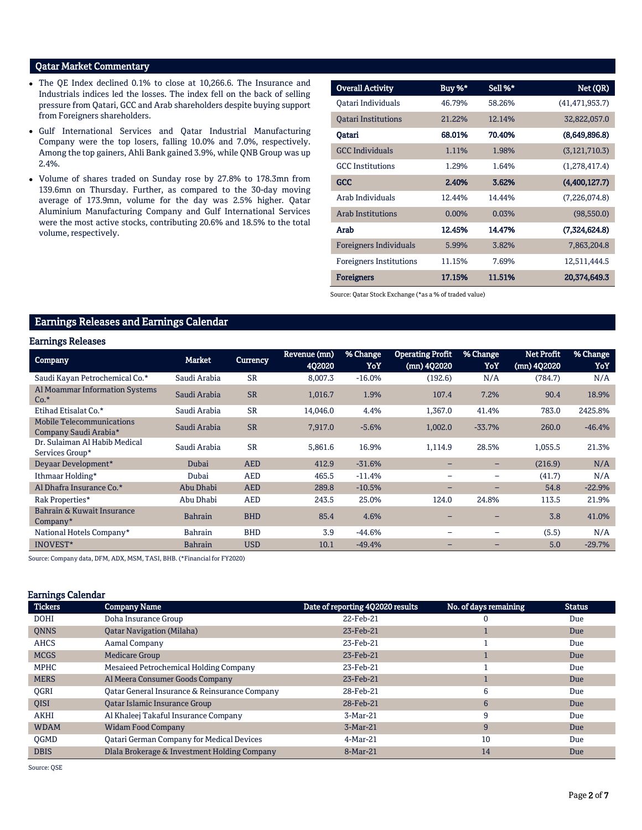## Qatar Market Commentary

- The QE Index declined 0.1% to close at 10,266.6. The Insurance and Industrials indices led the losses. The index fell on the back of selling pressure from Qatari, GCC and Arab shareholders despite buying support from Foreigners shareholders.
- Gulf International Services and Qatar Industrial Manufacturing Company were the top losers, falling 10.0% and 7.0%, respectively. Among the top gainers, Ahli Bank gained 3.9%, while QNB Group was up 2.4%.
- Volume of shares traded on Sunday rose by 27.8% to 178.3mn from 139.6mn on Thursday. Further, as compared to the 30-day moving average of 173.9mn, volume for the day was 2.5% higher. Qatar Aluminium Manufacturing Company and Gulf International Services were the most active stocks, contributing 20.6% and 18.5% to the total volume, respectively.

|                                |        | Sell %* |                  |
|--------------------------------|--------|---------|------------------|
| <b>Overall Activity</b>        | Buy %* |         | Net (QR)         |
| Oatari Individuals             | 46.79% | 58.26%  | (41, 471, 953.7) |
| <b>Oatari Institutions</b>     | 21.22% | 12.14%  | 32,822,057.0     |
| Qatari                         | 68.01% | 70.40%  | (8,649,896.8)    |
| <b>GCC</b> Individuals         | 1.11%  | 1.98%   | (3, 121, 710.3)  |
| <b>GCC</b> Institutions        | 1.29%  | 1.64%   | (1,278,417.4)    |
| <b>GCC</b>                     | 2.40%  | 3.62%   | (4,400,127.7)    |
| Arab Individuals               | 12.44% | 14.44%  | (7,226,074.8)    |
| Arab Institutions              | 0.00%  | 0.03%   | (98,550.0)       |
| Arab                           | 12.45% | 14.47%  | (7,324,624.8)    |
| <b>Foreigners Individuals</b>  | 5.99%  | 3.82%   | 7,863,204.8      |
| <b>Foreigners Institutions</b> | 11.15% | 7.69%   | 12,511,444.5     |
| <b>Foreigners</b>              | 17.15% | 11.51%  | 20,374,649.3     |

Source: Qatar Stock Exchange (\*as a % of traded value)

## Earnings Releases and Earnings Calendar

## Earnings Releases

| <b>Company</b>                                            | <b>Market</b>  | <b>Currency</b> | Revenue (mn)<br>402020 | % Change<br>YoY | <b>Operating Profit</b><br>(mn) 4Q2020 | % Change<br>YoY          | <b>Net Profit</b><br>(mn) 4Q2020 | % Change<br>YoY |
|-----------------------------------------------------------|----------------|-----------------|------------------------|-----------------|----------------------------------------|--------------------------|----------------------------------|-----------------|
| Saudi Kayan Petrochemical Co.*                            | Saudi Arabia   | <b>SR</b>       | 8,007.3                | $-16.0%$        | (192.6)                                | N/A                      | (784.7)                          | N/A             |
| Al Moammar Information Systems<br>$Co.*$                  | Saudi Arabia   | <b>SR</b>       | 1,016.7                | 1.9%            | 107.4                                  | 7.2%                     | 90.4                             | 18.9%           |
| Etihad Etisalat Co.*                                      | Saudi Arabia   | <b>SR</b>       | 14,046.0               | 4.4%            | 1,367.0                                | 41.4%                    | 783.0                            | 2425.8%         |
| <b>Mobile Telecommunications</b><br>Company Saudi Arabia* | Saudi Arabia   | <b>SR</b>       | 7,917.0                | $-5.6%$         | 1,002.0                                | $-33.7%$                 | 260.0                            | $-46.4%$        |
| Dr. Sulaiman Al Habib Medical<br>Services Group*          | Saudi Arabia   | <b>SR</b>       | 5,861.6                | 16.9%           | 1,114.9                                | 28.5%                    | 1,055.5                          | 21.3%           |
| Devaar Development*                                       | Dubai          | <b>AED</b>      | 412.9                  | $-31.6%$        |                                        | -                        | (216.9)                          | N/A             |
| Ithmaar Holding*                                          | Dubai          | <b>AED</b>      | 465.5                  | $-11.4%$        | $\overline{\phantom{0}}$               | $\qquad \qquad$          | (41.7)                           | N/A             |
| Al Dhafra Insurance Co.*                                  | Abu Dhabi      | <b>AED</b>      | 289.8                  | $-10.5%$        | $\overline{\phantom{0}}$               | $-$                      | 54.8                             | $-22.9%$        |
| Rak Properties*                                           | Abu Dhabi      | <b>AED</b>      | 243.5                  | 25.0%           | 124.0                                  | 24.8%                    | 113.5                            | 21.9%           |
| Bahrain & Kuwait Insurance<br>$Company*$                  | <b>Bahrain</b> | <b>BHD</b>      | 85.4                   | 4.6%            |                                        |                          | 3.8                              | 41.0%           |
| National Hotels Company*                                  | <b>Bahrain</b> | <b>BHD</b>      | 3.9                    | $-44.6%$        | $\overline{\phantom{0}}$               | $\overline{\phantom{0}}$ | (5.5)                            | N/A             |
| <b>INOVEST*</b>                                           | <b>Bahrain</b> | <b>USD</b>      | 10.1                   | $-49.4%$        |                                        |                          | 5.0                              | $-29.7%$        |

Source: Company data, DFM, ADX, MSM, TASI, BHB. (\*Financial for FY2020)

#### Earnings Calendar

| <b>Tickers</b> | <b>Company Name</b>                              | Date of reporting 4Q2020 results | No. of days remaining | <b>Status</b> |
|----------------|--------------------------------------------------|----------------------------------|-----------------------|---------------|
| <b>DOHI</b>    | Doha Insurance Group                             | 22-Feb-21                        |                       | Due           |
| <b>ONNS</b>    | <b>Oatar Navigation (Milaha)</b>                 | 23-Feb-21                        |                       | Due           |
| <b>AHCS</b>    | Aamal Company                                    | 23-Feb-21                        |                       | Due           |
| <b>MCGS</b>    | <b>Medicare Group</b>                            | 23-Feb-21                        |                       | Due           |
| <b>MPHC</b>    | Mesaieed Petrochemical Holding Company           | 23-Feb-21                        |                       | Due           |
| <b>MERS</b>    | Al Meera Consumer Goods Company                  | 23-Feb-21                        |                       | Due           |
| <b>OGRI</b>    | Oatar General Insurance & Reinsurance Company    | 28-Feb-21                        | 6                     | Due           |
| <b>OISI</b>    | Qatar Islamic Insurance Group                    | 28-Feb-21                        | 6                     | Due           |
| <b>AKHI</b>    | Al Khaleej Takaful Insurance Company             | $3-Mar-21$                       | 9                     | Due           |
| <b>WDAM</b>    | <b>Widam Food Company</b>                        | $3-Mar-21$                       | 9                     | Due           |
| <b>OGMD</b>    | <b>Qatari German Company for Medical Devices</b> | 4-Mar-21                         | 10                    | Due           |
| <b>DBIS</b>    | Dlala Brokerage & Investment Holding Company     | 8-Mar-21                         | 14                    | Due           |

Source: QSE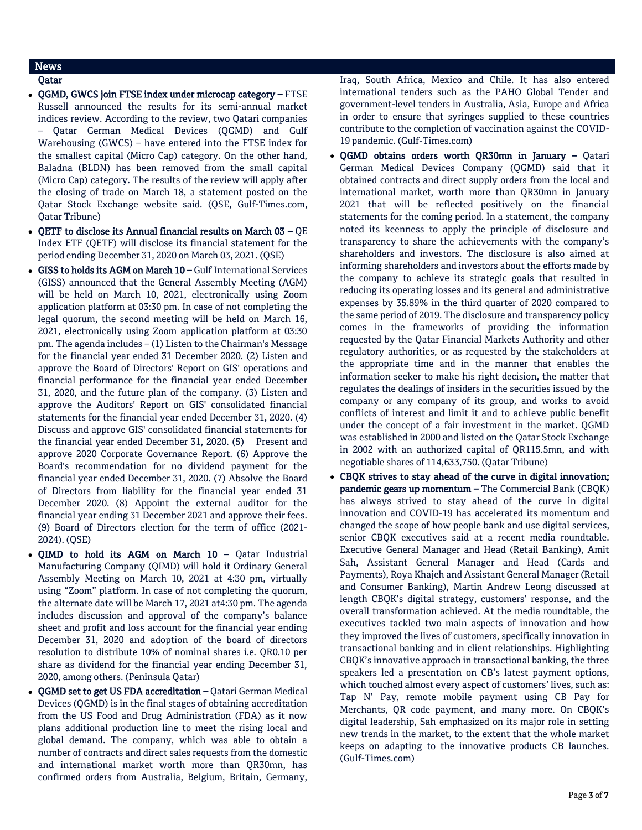## News

## Qatar

- OGMD, GWCS join FTSE index under microcap category FTSE Russell announced the results for its semi-annual market indices review. According to the review, two Qatari companies – Qatar German Medical Devices (QGMD) and Gulf Warehousing (GWCS) – have entered into the FTSE index for the smallest capital (Micro Cap) category. On the other hand, Baladna (BLDN) has been removed from the small capital (Micro Cap) category. The results of the review will apply after the closing of trade on March 18, a statement posted on the Qatar Stock Exchange website said. (QSE, Gulf-Times.com, Qatar Tribune)
- QETF to disclose its Annual financial results on March  $03 \text{QE}$ Index ETF (QETF) will disclose its financial statement for the period ending December 31, 2020 on March 03, 2021. (QSE)
- GISS to holds its AGM on March 10 Gulf International Services (GISS) announced that the General Assembly Meeting (AGM) will be held on March 10, 2021, electronically using Zoom application platform at 03:30 pm. In case of not completing the legal quorum, the second meeting will be held on March 16, 2021, electronically using Zoom application platform at 03:30 pm. The agenda includes – (1) Listen to the Chairman's Message for the financial year ended 31 December 2020. (2) Listen and approve the Board of Directors' Report on GIS' operations and financial performance for the financial year ended December 31, 2020, and the future plan of the company. (3) Listen and approve the Auditors' Report on GIS' consolidated financial statements for the financial year ended December 31, 2020. (4) Discuss and approve GIS' consolidated financial statements for the financial year ended December 31, 2020. (5) Present and approve 2020 Corporate Governance Report. (6) Approve the Board's recommendation for no dividend payment for the financial year ended December 31, 2020. (7) Absolve the Board of Directors from liability for the financial year ended 31 December 2020. (8) Appoint the external auditor for the financial year ending 31 December 2021 and approve their fees. (9) Board of Directors election for the term of office (2021- 2024). (QSE)
- QIMD to hold its AGM on March 10 Qatar Industrial Manufacturing Company (QIMD) will hold it Ordinary General Assembly Meeting on March 10, 2021 at 4:30 pm, virtually using "Zoom" platform. In case of not completing the quorum, the alternate date will be March 17, 2021 at4:30 pm. The agenda includes discussion and approval of the company's balance sheet and profit and loss account for the financial year ending December 31, 2020 and adoption of the board of directors resolution to distribute 10% of nominal shares i.e. QR0.10 per share as dividend for the financial year ending December 31, 2020, among others. (Peninsula Qatar)
- QGMD set to get US FDA accreditation Qatari German Medical Devices (QGMD) is in the final stages of obtaining accreditation from the US Food and Drug Administration (FDA) as it now plans additional production line to meet the rising local and global demand. The company, which was able to obtain a number of contracts and direct sales requests from the domestic and international market worth more than QR30mn, has confirmed orders from Australia, Belgium, Britain, Germany,

Iraq, South Africa, Mexico and Chile. It has also entered international tenders such as the PAHO Global Tender and government-level tenders in Australia, Asia, Europe and Africa in order to ensure that syringes supplied to these countries contribute to the completion of vaccination against the COVID-19 pandemic. (Gulf-Times.com)

- QGMD obtains orders worth QR30mn in January Qatari German Medical Devices Company (QGMD) said that it obtained contracts and direct supply orders from the local and international market, worth more than QR30mn in January 2021 that will be reflected positively on the financial statements for the coming period. In a statement, the company noted its keenness to apply the principle of disclosure and transparency to share the achievements with the company's shareholders and investors. The disclosure is also aimed at informing shareholders and investors about the efforts made by the company to achieve its strategic goals that resulted in reducing its operating losses and its general and administrative expenses by 35.89% in the third quarter of 2020 compared to the same period of 2019. The disclosure and transparency policy comes in the frameworks of providing the information requested by the Qatar Financial Markets Authority and other regulatory authorities, or as requested by the stakeholders at the appropriate time and in the manner that enables the information seeker to make his right decision, the matter that regulates the dealings of insiders in the securities issued by the company or any company of its group, and works to avoid conflicts of interest and limit it and to achieve public benefit under the concept of a fair investment in the market. QGMD was established in 2000 and listed on the Qatar Stock Exchange in 2002 with an authorized capital of QR115.5mn, and with negotiable shares of 114,633,750. (Qatar Tribune)
- CBQK strives to stay ahead of the curve in digital innovation; pandemic gears up momentum – The Commercial Bank (CBQK) has always strived to stay ahead of the curve in digital innovation and COVID-19 has accelerated its momentum and changed the scope of how people bank and use digital services, senior CBQK executives said at a recent media roundtable. Executive General Manager and Head (Retail Banking), Amit Sah, Assistant General Manager and Head (Cards and Payments), Roya Khajeh and Assistant General Manager (Retail and Consumer Banking), Martin Andrew Leong discussed at length CBQK's digital strategy, customers' response, and the overall transformation achieved. At the media roundtable, the executives tackled two main aspects of innovation and how they improved the lives of customers, specifically innovation in transactional banking and in client relationships. Highlighting CBQK's innovative approach in transactional banking, the three speakers led a presentation on CB's latest payment options, which touched almost every aspect of customers' lives, such as: Tap N' Pay, remote mobile payment using CB Pay for Merchants, QR code payment, and many more. On CBQK's digital leadership, Sah emphasized on its major role in setting new trends in the market, to the extent that the whole market keeps on adapting to the innovative products CB launches. (Gulf-Times.com)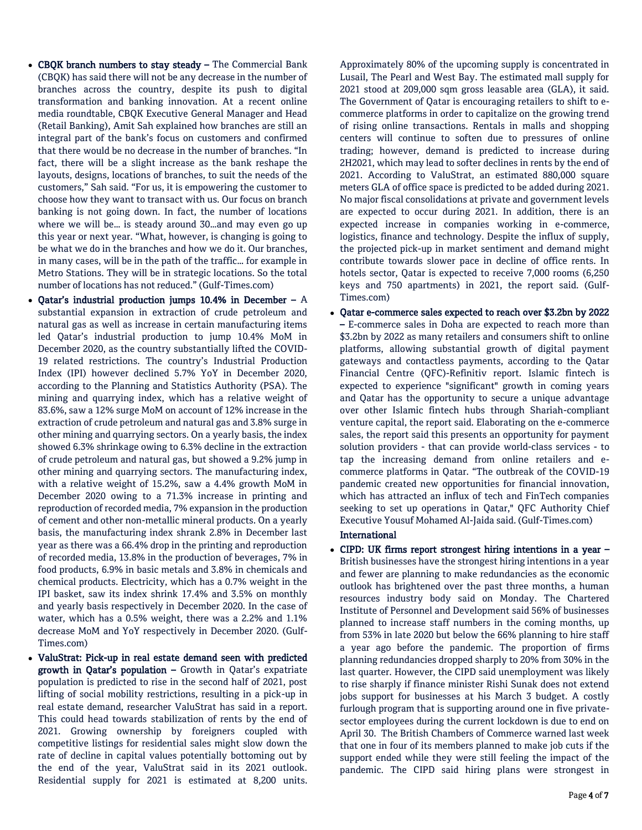- CBQK branch numbers to stay steady The Commercial Bank (CBQK) has said there will not be any decrease in the number of branches across the country, despite its push to digital transformation and banking innovation. At a recent online media roundtable, CBQK Executive General Manager and Head (Retail Banking), Amit Sah explained how branches are still an integral part of the bank's focus on customers and confirmed that there would be no decrease in the number of branches. "In fact, there will be a slight increase as the bank reshape the layouts, designs, locations of branches, to suit the needs of the customers," Sah said. "For us, it is empowering the customer to choose how they want to transact with us. Our focus on branch banking is not going down. In fact, the number of locations where we will be… is steady around 30…and may even go up this year or next year. "What, however, is changing is going to be what we do in the branches and how we do it. Our branches, in many cases, will be in the path of the traffic… for example in Metro Stations. They will be in strategic locations. So the total number of locations has not reduced." (Gulf-Times.com)
- Qatar's industrial production jumps 10.4% in December A substantial expansion in extraction of crude petroleum and natural gas as well as increase in certain manufacturing items led Qatar's industrial production to jump 10.4% MoM in December 2020, as the country substantially lifted the COVID-19 related restrictions. The country's Industrial Production Index (IPI) however declined 5.7% YoY in December 2020, according to the Planning and Statistics Authority (PSA). The mining and quarrying index, which has a relative weight of 83.6%, saw a 12% surge MoM on account of 12% increase in the extraction of crude petroleum and natural gas and 3.8% surge in other mining and quarrying sectors. On a yearly basis, the index showed 6.3% shrinkage owing to 6.3% decline in the extraction of crude petroleum and natural gas, but showed a 9.2% jump in other mining and quarrying sectors. The manufacturing index, with a relative weight of 15.2%, saw a 4.4% growth MoM in December 2020 owing to a 71.3% increase in printing and reproduction of recorded media, 7% expansion in the production of cement and other non-metallic mineral products. On a yearly basis, the manufacturing index shrank 2.8% in December last year as there was a 66.4% drop in the printing and reproduction of recorded media, 13.8% in the production of beverages, 7% in food products, 6.9% in basic metals and 3.8% in chemicals and chemical products. Electricity, which has a 0.7% weight in the IPI basket, saw its index shrink 17.4% and 3.5% on monthly and yearly basis respectively in December 2020. In the case of water, which has a 0.5% weight, there was a 2.2% and 1.1% decrease MoM and YoY respectively in December 2020. (Gulf-Times.com)
- ValuStrat: Pick-up in real estate demand seen with predicted growth in Qatar's population – Growth in Qatar's expatriate population is predicted to rise in the second half of 2021, post lifting of social mobility restrictions, resulting in a pick-up in real estate demand, researcher ValuStrat has said in a report. This could head towards stabilization of rents by the end of 2021. Growing ownership by foreigners coupled with competitive listings for residential sales might slow down the rate of decline in capital values potentially bottoming out by the end of the year, ValuStrat said in its 2021 outlook. Residential supply for 2021 is estimated at 8,200 units.

Approximately 80% of the upcoming supply is concentrated in Lusail, The Pearl and West Bay. The estimated mall supply for 2021 stood at 209,000 sqm gross leasable area (GLA), it said. The Government of Qatar is encouraging retailers to shift to ecommerce platforms in order to capitalize on the growing trend of rising online transactions. Rentals in malls and shopping centers will continue to soften due to pressures of online trading; however, demand is predicted to increase during 2H2021, which may lead to softer declines in rents by the end of 2021. According to ValuStrat, an estimated 880,000 square meters GLA of office space is predicted to be added during 2021. No major fiscal consolidations at private and government levels are expected to occur during 2021. In addition, there is an expected increase in companies working in e-commerce, logistics, finance and technology. Despite the influx of supply, the projected pick-up in market sentiment and demand might contribute towards slower pace in decline of office rents. In hotels sector, Qatar is expected to receive 7,000 rooms (6,250 keys and 750 apartments) in 2021, the report said. (Gulf-Times.com)

 Qatar e-commerce sales expected to reach over \$3.2bn by 2022 – E-commerce sales in Doha are expected to reach more than \$3.2bn by 2022 as many retailers and consumers shift to online platforms, allowing substantial growth of digital payment gateways and contactless payments, according to the Qatar Financial Centre (QFC)-Refinitiv report. Islamic fintech is expected to experience "significant" growth in coming years and Qatar has the opportunity to secure a unique advantage over other Islamic fintech hubs through Shariah-compliant venture capital, the report said. Elaborating on the e-commerce sales, the report said this presents an opportunity for payment solution providers - that can provide world-class services - to tap the increasing demand from online retailers and ecommerce platforms in Qatar. "The outbreak of the COVID-19 pandemic created new opportunities for financial innovation, which has attracted an influx of tech and FinTech companies seeking to set up operations in Qatar," QFC Authority Chief Executive Yousuf Mohamed Al-Jaida said. (Gulf-Times.com)

## International

 CIPD: UK firms report strongest hiring intentions in a year – British businesses have the strongest hiring intentions in a year and fewer are planning to make redundancies as the economic outlook has brightened over the past three months, a human resources industry body said on Monday. The Chartered Institute of Personnel and Development said 56% of businesses planned to increase staff numbers in the coming months, up from 53% in late 2020 but below the 66% planning to hire staff a year ago before the pandemic. The proportion of firms planning redundancies dropped sharply to 20% from 30% in the last quarter. However, the CIPD said unemployment was likely to rise sharply if finance minister Rishi Sunak does not extend jobs support for businesses at his March 3 budget. A costly furlough program that is supporting around one in five privatesector employees during the current lockdown is due to end on April 30. The British Chambers of Commerce warned last week that one in four of its members planned to make job cuts if the support ended while they were still feeling the impact of the pandemic. The CIPD said hiring plans were strongest in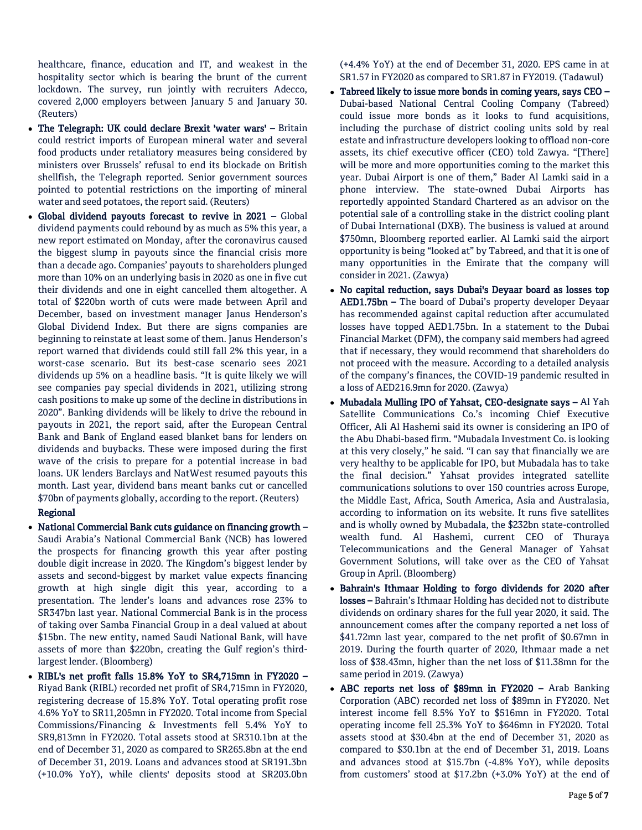healthcare, finance, education and IT, and weakest in the hospitality sector which is bearing the brunt of the current lockdown. The survey, run jointly with recruiters Adecco, covered 2,000 employers between January 5 and January 30. (Reuters)

- The Telegraph: UK could declare Brexit 'water wars' Britain could restrict imports of European mineral water and several food products under retaliatory measures being considered by ministers over Brussels' refusal to end its blockade on British shellfish, the Telegraph reported. Senior government sources pointed to potential restrictions on the importing of mineral water and seed potatoes, the report said. (Reuters)
- Global dividend payouts forecast to revive in 2021 Global dividend payments could rebound by as much as 5% this year, a new report estimated on Monday, after the coronavirus caused the biggest slump in payouts since the financial crisis more than a decade ago. Companies' payouts to shareholders plunged more than 10% on an underlying basis in 2020 as one in five cut their dividends and one in eight cancelled them altogether. A total of \$220bn worth of cuts were made between April and December, based on investment manager Janus Henderson's Global Dividend Index. But there are signs companies are beginning to reinstate at least some of them. Janus Henderson's report warned that dividends could still fall 2% this year, in a worst-case scenario. But its best-case scenario sees 2021 dividends up 5% on a headline basis. "It is quite likely we will see companies pay special dividends in 2021, utilizing strong cash positions to make up some of the decline in distributions in 2020". Banking dividends will be likely to drive the rebound in payouts in 2021, the report said, after the European Central Bank and Bank of England eased blanket bans for lenders on dividends and buybacks. These were imposed during the first wave of the crisis to prepare for a potential increase in bad loans. UK lenders Barclays and NatWest resumed payouts this month. Last year, dividend bans meant banks cut or cancelled \$70bn of payments globally, according to the report. (Reuters)

## Regional

- National Commercial Bank cuts guidance on financing growth Saudi Arabia's National Commercial Bank (NCB) has lowered the prospects for financing growth this year after posting double digit increase in 2020. The Kingdom's biggest lender by assets and second-biggest by market value expects financing growth at high single digit this year, according to a presentation. The lender's loans and advances rose 23% to SR347bn last year. National Commercial Bank is in the process of taking over Samba Financial Group in a deal valued at about \$15bn. The new entity, named Saudi National Bank, will have assets of more than \$220bn, creating the Gulf region's thirdlargest lender. (Bloomberg)
- RIBL's net profit falls 15.8% YoY to SR4,715mn in FY2020 Riyad Bank (RIBL) recorded net profit of SR4,715mn in FY2020, registering decrease of 15.8% YoY. Total operating profit rose 4.6% YoY to SR11,205mn in FY2020. Total income from Special Commissions/Financing & Investments fell 5.4% YoY to SR9,813mn in FY2020. Total assets stood at SR310.1bn at the end of December 31, 2020 as compared to SR265.8bn at the end of December 31, 2019. Loans and advances stood at SR191.3bn (+10.0% YoY), while clients' deposits stood at SR203.0bn

(+4.4% YoY) at the end of December 31, 2020. EPS came in at SR1.57 in FY2020 as compared to SR1.87 in FY2019. (Tadawul)

- Tabreed likely to issue more bonds in coming years, says CEO Dubai-based National Central Cooling Company (Tabreed) could issue more bonds as it looks to fund acquisitions, including the purchase of district cooling units sold by real estate and infrastructure developers looking to offload non-core assets, its chief executive officer (CEO) told Zawya. "[There] will be more and more opportunities coming to the market this year. Dubai Airport is one of them," Bader Al Lamki said in a phone interview. The state-owned Dubai Airports has reportedly appointed Standard Chartered as an advisor on the potential sale of a controlling stake in the district cooling plant of Dubai International (DXB). The business is valued at around \$750mn, Bloomberg reported earlier. Al Lamki said the airport opportunity is being "looked at" by Tabreed, and that it is one of many opportunities in the Emirate that the company will consider in 2021. (Zawya)
- No capital reduction, says Dubai's Deyaar board as losses top AED1.75bn – The board of Dubai's property developer Deyaar has recommended against capital reduction after accumulated losses have topped AED1.75bn. In a statement to the Dubai Financial Market (DFM), the company said members had agreed that if necessary, they would recommend that shareholders do not proceed with the measure. According to a detailed analysis of the company's finances, the COVID-19 pandemic resulted in a loss of AED216.9mn for 2020. (Zawya)
- Mubadala Mulling IPO of Yahsat, CEO-designate says Al Yah Satellite Communications Co.'s incoming Chief Executive Officer, Ali Al Hashemi said its owner is considering an IPO of the Abu Dhabi-based firm. "Mubadala Investment Co. is looking at this very closely," he said. "I can say that financially we are very healthy to be applicable for IPO, but Mubadala has to take the final decision." Yahsat provides integrated satellite communications solutions to over 150 countries across Europe, the Middle East, Africa, South America, Asia and Australasia, according to information on its website. It runs five satellites and is wholly owned by Mubadala, the \$232bn state-controlled wealth fund. Al Hashemi, current CEO of Thuraya Telecommunications and the General Manager of Yahsat Government Solutions, will take over as the CEO of Yahsat Group in April. (Bloomberg)
- Bahrain's Ithmaar Holding to forgo dividends for 2020 after losses – Bahrain's Ithmaar Holding has decided not to distribute dividends on ordinary shares for the full year 2020, it said. The announcement comes after the company reported a net loss of \$41.72mn last year, compared to the net profit of \$0.67mn in 2019. During the fourth quarter of 2020, Ithmaar made a net loss of \$38.43mn, higher than the net loss of \$11.38mn for the same period in 2019. (Zawya)
- ABC reports net loss of \$89mn in FY2020 Arab Banking Corporation (ABC) recorded net loss of \$89mn in FY2020. Net interest income fell 8.5% YoY to \$516mn in FY2020. Total operating income fell 25.3% YoY to \$646mn in FY2020. Total assets stood at \$30.4bn at the end of December 31, 2020 as compared to \$30.1bn at the end of December 31, 2019. Loans and advances stood at \$15.7bn (-4.8% YoY), while deposits from customers' stood at \$17.2bn (+3.0% YoY) at the end of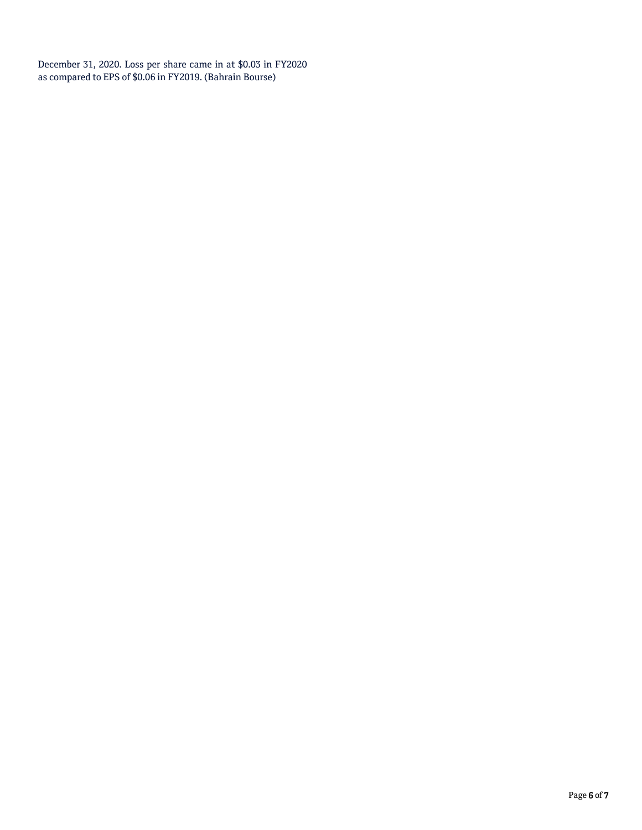December 31, 2020. Loss per share came in at \$0.03 in FY2020 as compared to EPS of \$0.06 in FY2019. (Bahrain Bourse)